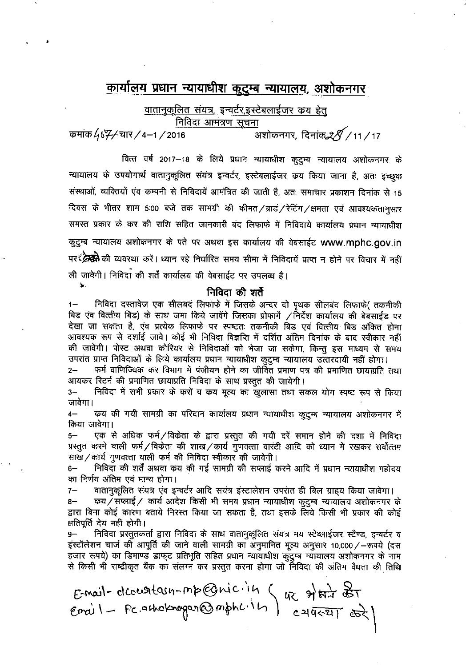# कार्यालय प्रधान न्यायाधीश कुटुम्ब न्यायालय, अशोकनगर

वातानुकूलित संयत्र, इन्वर्टर,इस्टेबलाईजर कय हेतू निविदा आमंत्रण सूचना

\_<br>अशोकनगर, दिनांक*28 /* 11 / 17 कमांक 4677 चार / 4–1 / 2016

वित्त वर्ष 2017–18 के लिये प्रधान न्यायाधीश कुटुम्ब न्यायालय अशोकनगर के न्यायालय के उपयोगार्थ वातानुकूलित संयंत्र इन्वर्टर, इस्टेबलाईजर कय किया जाना है, अतः इच्छुक संस्थाओं, व्यक्तियों एंव कम्पनी से निविदायें आमंत्रित की जाती है, अतः समाचार प्रकाशन दिनांक से 15 दिवस के भीतर शाम 5:00 बजे तक सामग्री की कीमत ⁄ ब्राडं ⁄ रेटिंग ⁄ क्षमता एवं आवश्यकतानुसार समस्त प्रकार के कर की राशि सहित जानकारी बंद लिफाफे में निविदाये कार्यालय प्रधान न्यायाधीश कुट्म्ब न्यायालय अशोकनगर के पते पर अथवा इस कार्यालय की वेबसाईट www.mphc.gov.in पर स्क्रिकी की व्यवस्था करें। ध्यान रहे निर्धारित समय सीमा में निविदायें प्राप्त न होने पर विचार में नहीं ली जावेगी। निविदा की शर्तें कार्यालय की वेबसाईट पर उपलब्ध है।

### निविदा की शर्ते

निविदा दस्तावेज एक सीलबद लिफाफे में जिसके अन्दर दो पृथक सीलबंद लिफाफे( तकनीकी  $1 -$ बिड एंव वित्तीय बिड) के साथ जमा किये जावेंगे जिसका प्रोफार्मे /निर्देश कार्यालय की बेबसाईड पर देखा जा सकता है, एंव प्रत्येक लिफाफे पर स्पष्टतः तकनीकी बिड एवं वित्तीय बिड अंकित होना आवश्यक रूप से दर्शाई जावे। कोई भी निविदा विज्ञप्ति में दर्शित अंतिम दिनांक के बाद स्वीकार नहीं की जावेगी। पोस्ट अथवा कोरियर से निविदाओं को भेजा जा सकेगा, किन्तु इस माध्यम से समय उपरांत प्राप्त निविदाओं के लिये कार्यालय प्रधान न्यायाधीश कुटुम्ब न्यायालय उत्तरदायी नहीं होगा।

कर्म वाणिज्यिक कर विभाग में पंजीयन होने का जीवित प्रमाण पत्र की प्रमाणित छायाप्रति तथा  $2-$ आयकर रिटर्न की प्रमाणित छायाप्रति निविदा के साथ प्रस्तुत की जायेगी।

निविदा में सभी प्रकार के करों व कय मूल्य का खुलासा तथा सकल योग स्पष्ट रूप से किया  $3-$ जावेगा।

कय की गयी सामग्री का परिदान कार्यालय प्रधान न्यायाधीश कुटुम्ब न्यायालय अशोकनगर में  $4-$ किया जावेगा।

एक से अधिक फर्म/विकेता के द्वारा प्रस्तुत की गयी दरें समान होने की दशा में निविदा  $5-$ प्रस्तुत करने वाली फर्म/विकेता की शाख/कार्य गुणवत्ता वारंटी आदि को ध्यान में रखकर सर्वोत्तम साख/कार्य गुणवत्ता वाली फर्म की निविदा स्वीकार की जावेगी।

निविदा की शर्तें अथवा क्रय की गई सामग्री की सप्लाई करने आदि में प्रधान न्यायाधीश महोदय  $6-$ का निर्णय अंतिम एवं मान्य होगा।

वातानुकूलित संयत्र एव इन्वर्टर आदि सयंत्र इंस्टालेशन उपरांत ही बिल ग्राहय किया जावेगा।  $7-$ 

 $8-$ *क्य /* सप्लाई / कार्य आदेश किसी भी समय प्रधान न्यायाधीश कुटुम्ब न्यायालय अशोकनगर के द्वारा बिना कोई कारण बताये निरस्त किया जा सकता है, तथा इसके लिये किसी भी प्रकार की कोई क्षतिपूर्ति देय नहीं होगी।

 $9-$ निविदा प्रस्तुतकर्ता द्वारा निविदा के साथ वातानुकूलित संयत्र मय स्टेब्लाईजर स्टैण्ड, इन्वर्टर व इंस्टॉलेशन चार्ज की आपूर्ति की जाने वाली सामग्री का अनुमानित मूल्य अनुसार 10,000/-रूपये (दस हजार रूपये) का डिमाण्ड डाफुट प्रतिभूति सहित प्रधान न्यायाधीश कुंदुम्ब न्यायालय अशोकनगर के नाम से किसी भी राष्ट्रीकृत बैंक का संलग्न कर प्रस्तुत करना होगा जो निविदा की अंतिम वैधता की तिथि

Email-dcourtasn-mp@niciin (42 situra est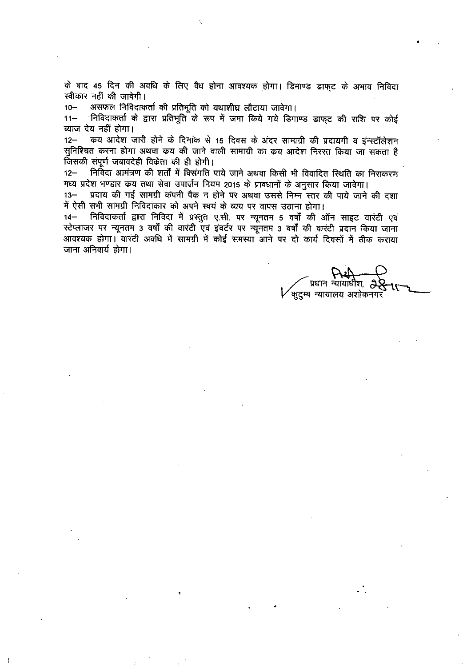के बाद 45 दिन की अवधि के लिए वैध होना आवश्यक होगा। डिमाण्ड डाफ्ट के अभाव निविदा स्वीकार नहीं की जावेगी।

असफल निविदाकर्ता की प्रतिभूति को यथाशीघ्र लौटाया जावेगा।  $10 -$ 

ंनिविदाकर्ता के द्वारा प्रतिभूति के रूप में जमा किये गये डिमाण्ड डाफुट की राशि पर कोई  $11 -$ व्याज देय नहीं होगा।

 $12 -$ कय आदेश जारी होने के दिनांक से 15 दिवस के अंदर सामाग्री की प्रदायगी व इंन्स्टॉलेशन सुनिश्चित करना होगा अथवा कय की जाने वाली सामाग्री का कय आदेश निरस्त किया जा सकता है जिसकी संपूर्ण जबावदेही विकेता की ही होगी।

निविदा आमंत्रण की शर्तों में विसंगति पाये जाने अथवा किसी भी विवादित स्थिति का निराकरण  $12 -$ मध्य प्रदेश भण्डार कय तथा सेवा उपार्जन नियम 2015 के प्रावधानों के अनुसार किया जावेगा।

प्रदाय की गई सामग्री कंपनी पैक न होने पर अथवा उससे निम्न स्तर की पाये जाने की दशा  $13 -$ में ऐसी सभी सामग्री निविदाकार को अपने स्वयं के व्यय पर वापस उठाना होगा।

14– निविदाकर्ता द्वारा निविदा में प्रस्तुत ए.सी. पर न्यूनतम 5 वर्षों की ऑन साइट वारंटी एवं स्टेप्लाजर पर न्यूनतम 3 वर्षों की वारंटी एवं इंवर्टर पर न्यूनतम 3 वर्षों की वारंटी प्रदान किया जाना आवश्यक होगा। वारंटी अवधि में सामग्री में कोई समस्या आने पर दो कार्य दिवसों में ठीक कराया जाना अनिवार्य होगा।

प्रधान न्यायाधीश, त्रे कुदुम्ब न्यायालय अशोकनगर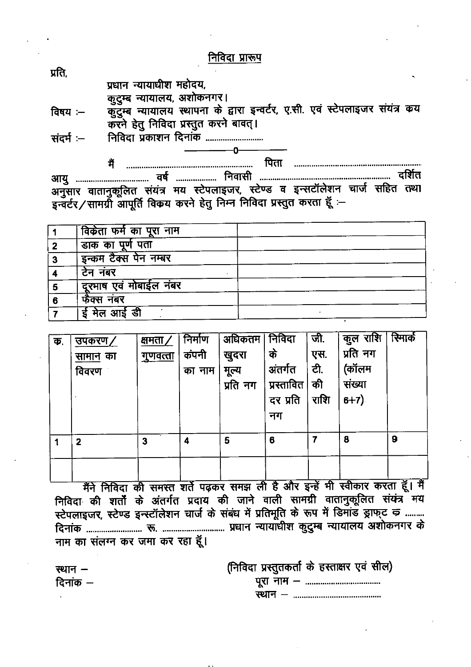निविदा प्रारूप

प्रति.

प्रधान न्यायाधीश महोदय,

कुटुम्ब न्यायालय, अशोकनगर।

कुँटुम्ब न्यायालय स्थापना के द्वारा इन्वर्टर, ए.सी. एवं स्टेपलाइजर संयंत्र कय विषय $:=$ करने हेतु निविदा प्रस्तुत करने बावत्।

ŋ.

निविदा प्रकाशन दिनांक .......................... संदर्भ $:$ 

मैं अनुसार वातानुकूलित संयंत्र मय स्टेपलाइजर, स्टेण्ड व इन्सटॉलेशन चार्ज सहित तथा इन्वर्टर/सामग्री आपूर्ति विकय करने हेतु निम्न निविदा प्रस्तुत करता हूँ :-

|   | विकेता फर्म क <u>ा पूरा नाम</u> |  |
|---|---------------------------------|--|
|   | डाक का पूर्ण पता                |  |
|   | इन्कम टैक्स पेन नम्बर           |  |
|   | टेन नंबर                        |  |
| 5 | दूरमाष एवं मोबाईल नंबर          |  |
| 6 | फैक्स नंबर                      |  |
|   | ई मेल आई डी                     |  |

| क. | उपकरण/          | क्षमता ⁄        | निर्माण | अधिकतम   | निविदा     | जी.  | कुल राशि | स्मिार्क |
|----|-----------------|-----------------|---------|----------|------------|------|----------|----------|
|    | <u>सामान</u> का | <u>गुणवत्ता</u> | कंपनी   | खुदरा    | के         | एस.  | प्रति नग |          |
|    | विवरण           |                 | का नाम  | मूल्य    | अंतर्गत    | टी.  | (कॉलम    |          |
|    |                 |                 |         | प्रति नग | प्रस्तावित | की   | संख्या   |          |
|    |                 |                 |         |          | दर प्रति   | राशि | $6+7)$   |          |
|    |                 |                 |         |          | नग         |      |          |          |
|    |                 |                 |         |          |            |      |          |          |
|    | $\mathbf{2}$    | 3               | 4       | 5        | 6          | 7    | 8        | 9        |
|    |                 |                 |         |          |            |      |          |          |
|    |                 |                 |         |          |            |      |          |          |

मैंने निविदा की समस्त शर्ते पढ़कर समझ ली है और इन्हें भी स्वीकार करता हूँ। मैं निविदा की शर्तों के अंतर्गत प्रदाय की जाने वाली सामग्री वातानुकूलित संयंत्र मय स्टेपलाइजर, स्टेण्ड इन्स्टॉलेशन चार्ज के संबंध में प्रतिमूति के रूप में डिमांड ड्राफ्ट ड़ ......... नाम का संलग्न कर जमा कर रहा हूँ।

> (निविदा प्रस्तुतकर्ता के हस्ताक्षर एवं सील)

स्थान -दिनांक  $-$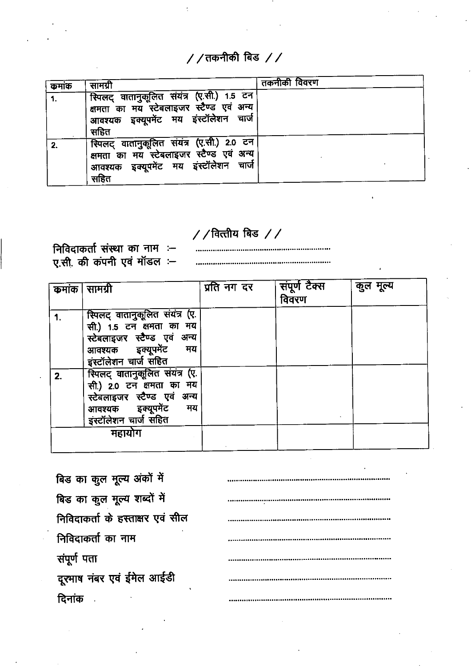$\frac{1}{2}$  / तकनीकी बिड  $\frac{1}{2}$ 

| कमाक | सामग्री                                                                                                                                 | तकनीकी विवरण |
|------|-----------------------------------------------------------------------------------------------------------------------------------------|--------------|
|      | स्पिलट् वातानुकूलित संयंत्र (ए.सी.) 1.5 टन<br>क्षमता का मय स्टेबलाइजर स्टैण्ड एवं अन्य<br>आवश्यक इक्यूपमेंट मय इंस्टॉलेशन चार्ज<br>सहित |              |
|      | स्पिलट् वातानुकूलित संयंत्र (ए.सी.) 2.0 टन<br>क्षमता का मय स्टेबलाइजर स्टैण्ड एवं अन्य<br>आवश्यक इक्यूपमेंट मय इंस्टॉलेशन चार्ज<br>सहित |              |

# $\frac{1}{2}$  / वित्तीय बिड  $\frac{1}{2}$

निविदाकर्ता संस्था का नाम :-ए.सी. की कंपनी एवं मॉडल :–

| कमांक | सामग्री                                                                                                                                        | प्रति नग दर | संपूर्ण टैक्स<br>विवरण | कुल मूल्य |
|-------|------------------------------------------------------------------------------------------------------------------------------------------------|-------------|------------------------|-----------|
|       | स्पिलट् वातानुकूलित संयंत्र (ए.<br>सी.) 1.5 टन क्षमता का मय<br>स्टेबलाइजर स्टैण्ड एवं अन्य<br>आवश्यक इक्यूपमेंट<br>मय<br>इंस्टॉलेशन चार्ज सहित |             |                        |           |
| 2.    | स्पिलट् वातानुकूलित संयंत्र (ए.<br>सी.) 2.0 टन क्षमता का मय<br>स्टेबलाइजर स्टैण्ड एवं अन्य<br>आवश्यक इक्यूपमेंट<br>मय<br>इस्टॉलेशन चार्ज सहित  |             |                        |           |
|       | महायोग                                                                                                                                         |             |                        |           |

| बिड का कुल मूल्य अंकों में       |  |
|----------------------------------|--|
| बिड का कुल मूल्य शब्दों में      |  |
| निविदाकर्ता के हस्ताक्षर एवं सील |  |
| निविदाकर्ता का नाम               |  |
| संपूर्ण पता                      |  |
| दूरमाष नंबर एवं ईमेल आईडी        |  |
|                                  |  |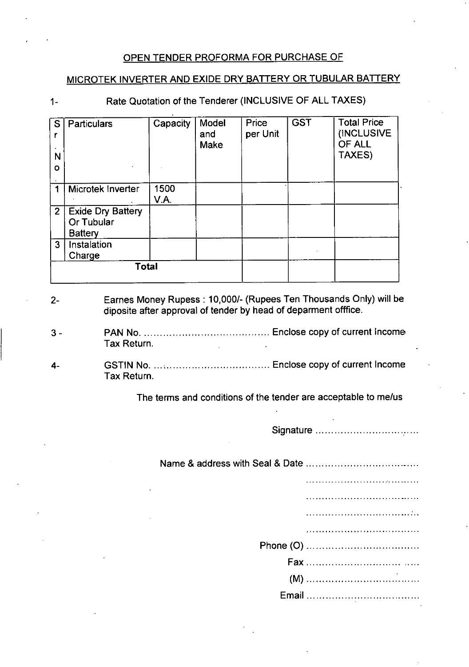# OPEN TENDER PROFORMA FOR PURCHASE OF

# MICROTEK INVERTER AND EXIDE DRY BATTERY OR TUBULAR BATTERY

#### $1 -$

# Rate Quotation of the Tenderer (INCLUSIVE OF ALL TAXES)

| S<br>N<br>O    | <b>Particulars</b>                                       | Capacity     | Model<br>and<br>Make | Price<br>per Unit | <b>GST</b> | <b>Total Price</b><br>(INCLUSIVE<br>OF ALL<br>TAXES) |
|----------------|----------------------------------------------------------|--------------|----------------------|-------------------|------------|------------------------------------------------------|
|                | Microtek Inverter                                        | 1500<br>V.A. |                      |                   |            |                                                      |
| $2^{\circ}$    | <b>Exide Dry Battery</b><br>Or Tubular<br><b>Battery</b> |              |                      |                   |            |                                                      |
| 3 <sup>1</sup> | Instalation<br>Charge                                    |              |                      |                   |            |                                                      |
|                | Total                                                    |              |                      |                   |            |                                                      |

### 2- Earnes Money Rupess : **10,000/-** (Rupees Ten Thousands Only) will be diposite after approval of tender by head of deparment offfice.

- 3 PAN No. Enclose copy of current Income Tax Return.
- 4- GSTIN No. Enclose copy of current Income Tax Return.

The terms and conditions of the tender are acceptable to me/us

Signature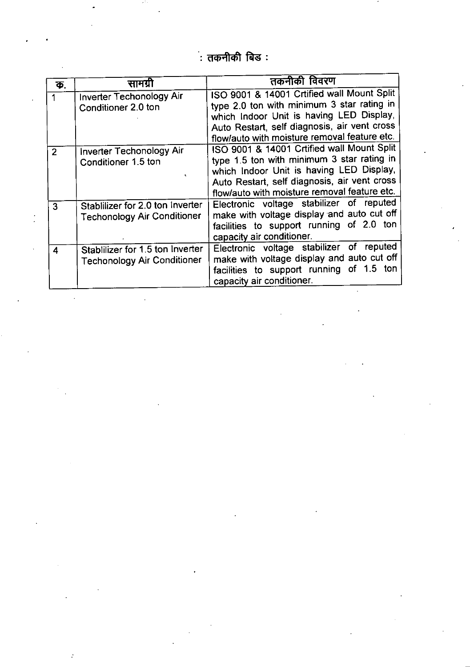.<br>: तकनीकी बिड :

| क.             | सामग्र                                                                 | तकनीकी विवरण                                                                                                                                                                                                                         |
|----------------|------------------------------------------------------------------------|--------------------------------------------------------------------------------------------------------------------------------------------------------------------------------------------------------------------------------------|
|                | <b>Inverter Techonology Air</b><br>Conditioner 2.0 ton                 | ISO 9001 & 14001 Crtified wall Mount Split<br>type 2.0 ton with minimum 3 star rating in<br>which Indoor Unit is having LED Display,<br>Auto Restart, self diagnosis, air vent cross<br>flow/auto with moisture removal feature etc. |
| $\overline{2}$ | Inverter Techonology Air<br>Conditioner 1.5 ton                        | ISO 9001 & 14001 Crtified wall Mount Split<br>type 1.5 ton with minimum 3 star rating in<br>which Indoor Unit is having LED Display,<br>Auto Restart, self diagnosis, air vent cross<br>flow/auto with moisture removal feature etc. |
| 3              | Stablilizer for 2.0 ton Inverter<br><b>Techonology Air Conditioner</b> | Electronic voltage stabilizer of reputed<br>make with voltage display and auto cut off<br>facilities to support running of 2.0 ton<br>capacity air conditioner.                                                                      |
| 4              | Stablilizer for 1.5 ton Inverter<br><b>Techonology Air Conditioner</b> | Electronic voltage stabilizer of reputed<br>make with voltage display and auto cut off<br>facilities to support running of 1.5 ton<br>capacity air conditioner.                                                                      |

 $\frac{1}{2}$